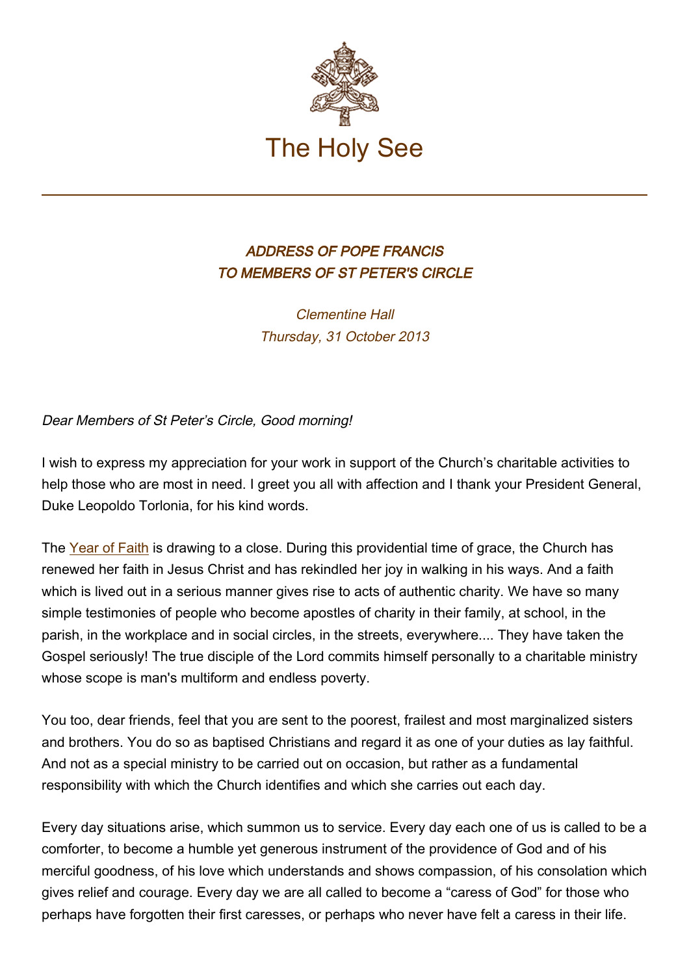

## ADDRESS OF POPE FRANCIS TO MEMBERS OF ST PETER'S CIRCLE

Clementine Hall Thursday, 31 October 2013

Dear Members of St Peter's Circle, Good morning!

I wish to express my appreciation for your work in support of the Church's charitable activities to help those who are most in need. I greet you all with affection and I thank your President General, Duke Leopoldo Torlonia, for his kind words.

The [Year of Faith](http://www.vatican.va/special/annus_fidei/index_en.htm) is drawing to a close. During this providential time of grace, the Church has renewed her faith in Jesus Christ and has rekindled her joy in walking in his ways. And a faith which is lived out in a serious manner gives rise to acts of authentic charity. We have so many simple testimonies of people who become apostles of charity in their family, at school, in the parish, in the workplace and in social circles, in the streets, everywhere.... They have taken the Gospel seriously! The true disciple of the Lord commits himself personally to a charitable ministry whose scope is man's multiform and endless poverty.

You too, dear friends, feel that you are sent to the poorest, frailest and most marginalized sisters and brothers. You do so as baptised Christians and regard it as one of your duties as lay faithful. And not as a special ministry to be carried out on occasion, but rather as a fundamental responsibility with which the Church identifies and which she carries out each day.

Every day situations arise, which summon us to service. Every day each one of us is called to be a comforter, to become a humble yet generous instrument of the providence of God and of his merciful goodness, of his love which understands and shows compassion, of his consolation which gives relief and courage. Every day we are all called to become a "caress of God" for those who perhaps have forgotten their first caresses, or perhaps who never have felt a caress in their life.